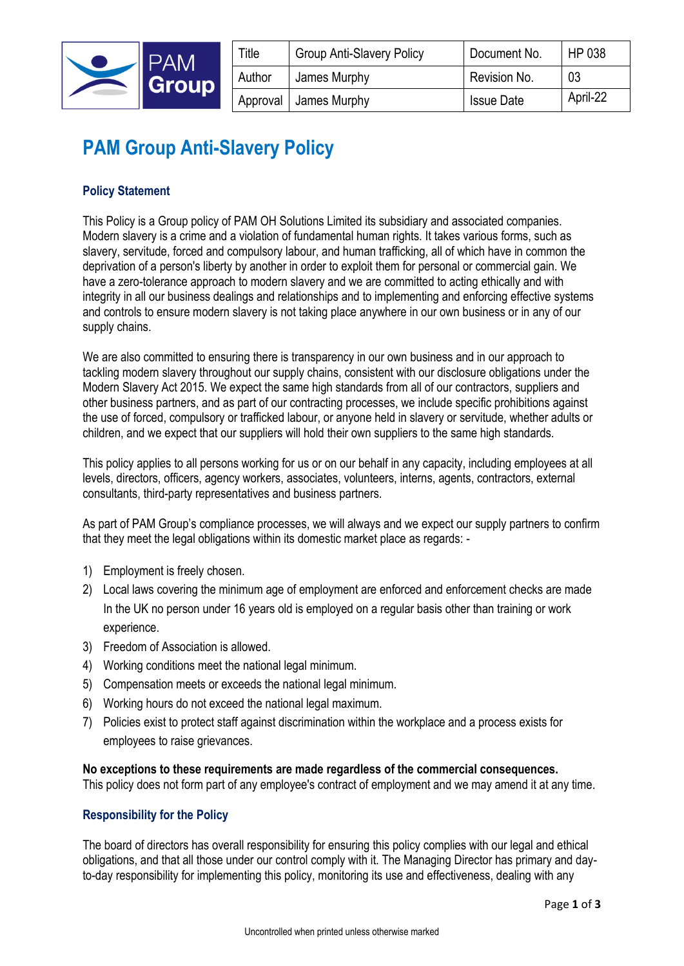

| $\tau$ itle | <b>Group Anti-Slavery Policy</b> | Document No.      | HP 038   |
|-------------|----------------------------------|-------------------|----------|
| Author      | James Murphy                     | Revision No.      | 03       |
|             | Approval   James Murphy          | <b>Issue Date</b> | April-22 |

# **PAM Group Anti-Slavery Policy**

## **Policy Statement**

This Policy is a Group policy of PAM OH Solutions Limited its subsidiary and associated companies. Modern slavery is a crime and a violation of fundamental human rights. It takes various forms, such as slavery, servitude, forced and compulsory labour, and human trafficking, all of which have in common the deprivation of a person's liberty by another in order to exploit them for personal or commercial gain. We have a zero-tolerance approach to modern slavery and we are committed to acting ethically and with integrity in all our business dealings and relationships and to implementing and enforcing effective systems and controls to ensure modern slavery is not taking place anywhere in our own business or in any of our supply chains.

We are also committed to ensuring there is transparency in our own business and in our approach to tackling modern slavery throughout our supply chains, consistent with our disclosure obligations under the Modern Slavery Act 2015. We expect the same high standards from all of our contractors, suppliers and other business partners, and as part of our contracting processes, we include specific prohibitions against the use of forced, compulsory or trafficked labour, or anyone held in slavery or servitude, whether adults or children, and we expect that our suppliers will hold their own suppliers to the same high standards.

This policy applies to all persons working for us or on our behalf in any capacity, including employees at all levels, directors, officers, agency workers, associates, volunteers, interns, agents, contractors, external consultants, third-party representatives and business partners.

As part of PAM Group's compliance processes, we will always and we expect our supply partners to confirm that they meet the legal obligations within its domestic market place as regards: -

- 1) Employment is freely chosen.
- 2) Local laws covering the minimum age of employment are enforced and enforcement checks are made In the UK no person under 16 years old is employed on a regular basis other than training or work experience.
- 3) Freedom of Association is allowed.
- 4) Working conditions meet the national legal minimum.
- 5) Compensation meets or exceeds the national legal minimum.
- 6) Working hours do not exceed the national legal maximum.
- 7) Policies exist to protect staff against discrimination within the workplace and a process exists for employees to raise grievances.

**No exceptions to these requirements are made regardless of the commercial consequences.**

This policy does not form part of any employee's contract of employment and we may amend it at any time.

### **Responsibility for the Policy**

The board of directors has overall responsibility for ensuring this policy complies with our legal and ethical obligations, and that all those under our control comply with it. The Managing Director has primary and dayto-day responsibility for implementing this policy, monitoring its use and effectiveness, dealing with any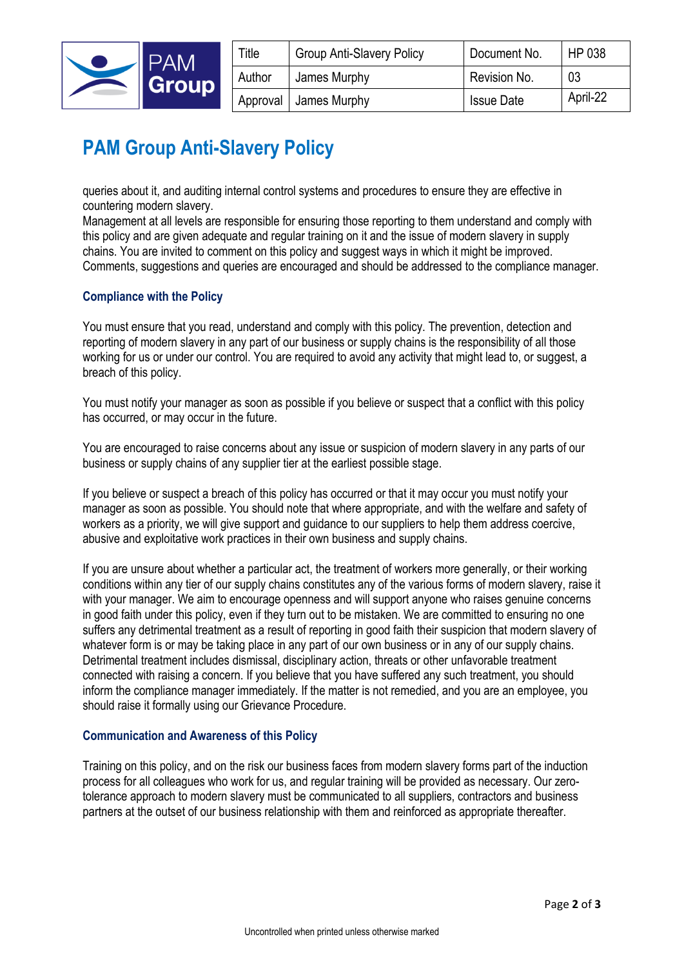

| Title  | <b>Group Anti-Slavery Policy</b> | Document No.      | HP 038   |
|--------|----------------------------------|-------------------|----------|
| Author | James Murphy                     | Revision No.      | 03       |
|        | Approval   James Murphy          | <b>Issue Date</b> | April-22 |

## **PAM Group Anti-Slavery Policy**

queries about it, and auditing internal control systems and procedures to ensure they are effective in countering modern slavery.

Management at all levels are responsible for ensuring those reporting to them understand and comply with this policy and are given adequate and regular training on it and the issue of modern slavery in supply chains. You are invited to comment on this policy and suggest ways in which it might be improved. Comments, suggestions and queries are encouraged and should be addressed to the compliance manager.

### **Compliance with the Policy**

You must ensure that you read, understand and comply with this policy. The prevention, detection and reporting of modern slavery in any part of our business or supply chains is the responsibility of all those working for us or under our control. You are required to avoid any activity that might lead to, or suggest, a breach of this policy.

You must notify your manager as soon as possible if you believe or suspect that a conflict with this policy has occurred, or may occur in the future.

You are encouraged to raise concerns about any issue or suspicion of modern slavery in any parts of our business or supply chains of any supplier tier at the earliest possible stage.

If you believe or suspect a breach of this policy has occurred or that it may occur you must notify your manager as soon as possible. You should note that where appropriate, and with the welfare and safety of workers as a priority, we will give support and guidance to our suppliers to help them address coercive, abusive and exploitative work practices in their own business and supply chains.

If you are unsure about whether a particular act, the treatment of workers more generally, or their working conditions within any tier of our supply chains constitutes any of the various forms of modern slavery, raise it with your manager. We aim to encourage openness and will support anyone who raises genuine concerns in good faith under this policy, even if they turn out to be mistaken. We are committed to ensuring no one suffers any detrimental treatment as a result of reporting in good faith their suspicion that modern slavery of whatever form is or may be taking place in any part of our own business or in any of our supply chains. Detrimental treatment includes dismissal, disciplinary action, threats or other unfavorable treatment connected with raising a concern. If you believe that you have suffered any such treatment, you should inform the compliance manager immediately. If the matter is not remedied, and you are an employee, you should raise it formally using our Grievance Procedure.

### **Communication and Awareness of this Policy**

Training on this policy, and on the risk our business faces from modern slavery forms part of the induction process for all colleagues who work for us, and regular training will be provided as necessary. Our zerotolerance approach to modern slavery must be communicated to all suppliers, contractors and business partners at the outset of our business relationship with them and reinforced as appropriate thereafter.